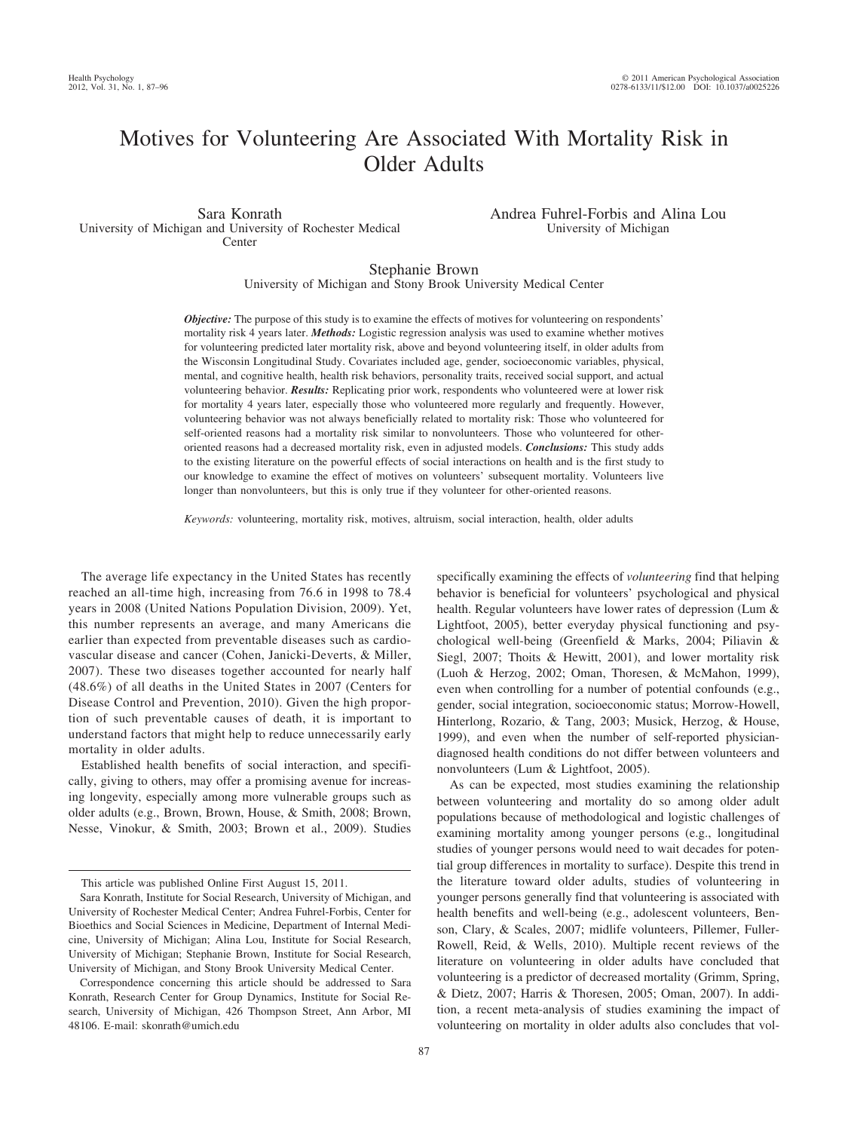# Motives for Volunteering Are Associated With Mortality Risk in Older Adults

Sara Konrath University of Michigan and University of Rochester Medical **Center** 

Andrea Fuhrel-Forbis and Alina Lou University of Michigan

# Stephanie Brown University of Michigan and Stony Brook University Medical Center

*Objective:* The purpose of this study is to examine the effects of motives for volunteering on respondents' mortality risk 4 years later. *Methods:* Logistic regression analysis was used to examine whether motives for volunteering predicted later mortality risk, above and beyond volunteering itself, in older adults from the Wisconsin Longitudinal Study. Covariates included age, gender, socioeconomic variables, physical, mental, and cognitive health, health risk behaviors, personality traits, received social support, and actual volunteering behavior. *Results:* Replicating prior work, respondents who volunteered were at lower risk for mortality 4 years later, especially those who volunteered more regularly and frequently. However, volunteering behavior was not always beneficially related to mortality risk: Those who volunteered for self-oriented reasons had a mortality risk similar to nonvolunteers. Those who volunteered for otheroriented reasons had a decreased mortality risk, even in adjusted models. *Conclusions:* This study adds to the existing literature on the powerful effects of social interactions on health and is the first study to our knowledge to examine the effect of motives on volunteers' subsequent mortality. Volunteers live longer than nonvolunteers, but this is only true if they volunteer for other-oriented reasons.

*Keywords:* volunteering, mortality risk, motives, altruism, social interaction, health, older adults

The average life expectancy in the United States has recently reached an all-time high, increasing from 76.6 in 1998 to 78.4 years in 2008 (United Nations Population Division, 2009). Yet, this number represents an average, and many Americans die earlier than expected from preventable diseases such as cardiovascular disease and cancer (Cohen, Janicki-Deverts, & Miller, 2007). These two diseases together accounted for nearly half (48.6%) of all deaths in the United States in 2007 (Centers for Disease Control and Prevention, 2010). Given the high proportion of such preventable causes of death, it is important to understand factors that might help to reduce unnecessarily early mortality in older adults.

Established health benefits of social interaction, and specifically, giving to others, may offer a promising avenue for increasing longevity, especially among more vulnerable groups such as older adults (e.g., Brown, Brown, House, & Smith, 2008; Brown, Nesse, Vinokur, & Smith, 2003; Brown et al., 2009). Studies

specifically examining the effects of *volunteering* find that helping behavior is beneficial for volunteers' psychological and physical health. Regular volunteers have lower rates of depression (Lum & Lightfoot, 2005), better everyday physical functioning and psychological well-being (Greenfield & Marks, 2004; Piliavin & Siegl, 2007; Thoits & Hewitt, 2001), and lower mortality risk (Luoh & Herzog, 2002; Oman, Thoresen, & McMahon, 1999), even when controlling for a number of potential confounds (e.g., gender, social integration, socioeconomic status; Morrow-Howell, Hinterlong, Rozario, & Tang, 2003; Musick, Herzog, & House, 1999), and even when the number of self-reported physiciandiagnosed health conditions do not differ between volunteers and nonvolunteers (Lum & Lightfoot, 2005).

As can be expected, most studies examining the relationship between volunteering and mortality do so among older adult populations because of methodological and logistic challenges of examining mortality among younger persons (e.g., longitudinal studies of younger persons would need to wait decades for potential group differences in mortality to surface). Despite this trend in the literature toward older adults, studies of volunteering in younger persons generally find that volunteering is associated with health benefits and well-being (e.g., adolescent volunteers, Benson, Clary, & Scales, 2007; midlife volunteers, Pillemer, Fuller-Rowell, Reid, & Wells, 2010). Multiple recent reviews of the literature on volunteering in older adults have concluded that volunteering is a predictor of decreased mortality (Grimm, Spring, & Dietz, 2007; Harris & Thoresen, 2005; Oman, 2007). In addition, a recent meta-analysis of studies examining the impact of volunteering on mortality in older adults also concludes that vol-

This article was published Online First August 15, 2011.

Sara Konrath, Institute for Social Research, University of Michigan, and University of Rochester Medical Center; Andrea Fuhrel-Forbis, Center for Bioethics and Social Sciences in Medicine, Department of Internal Medicine, University of Michigan; Alina Lou, Institute for Social Research, University of Michigan; Stephanie Brown, Institute for Social Research, University of Michigan, and Stony Brook University Medical Center.

Correspondence concerning this article should be addressed to Sara Konrath, Research Center for Group Dynamics, Institute for Social Research, University of Michigan, 426 Thompson Street, Ann Arbor, MI 48106. E-mail: skonrath@umich.edu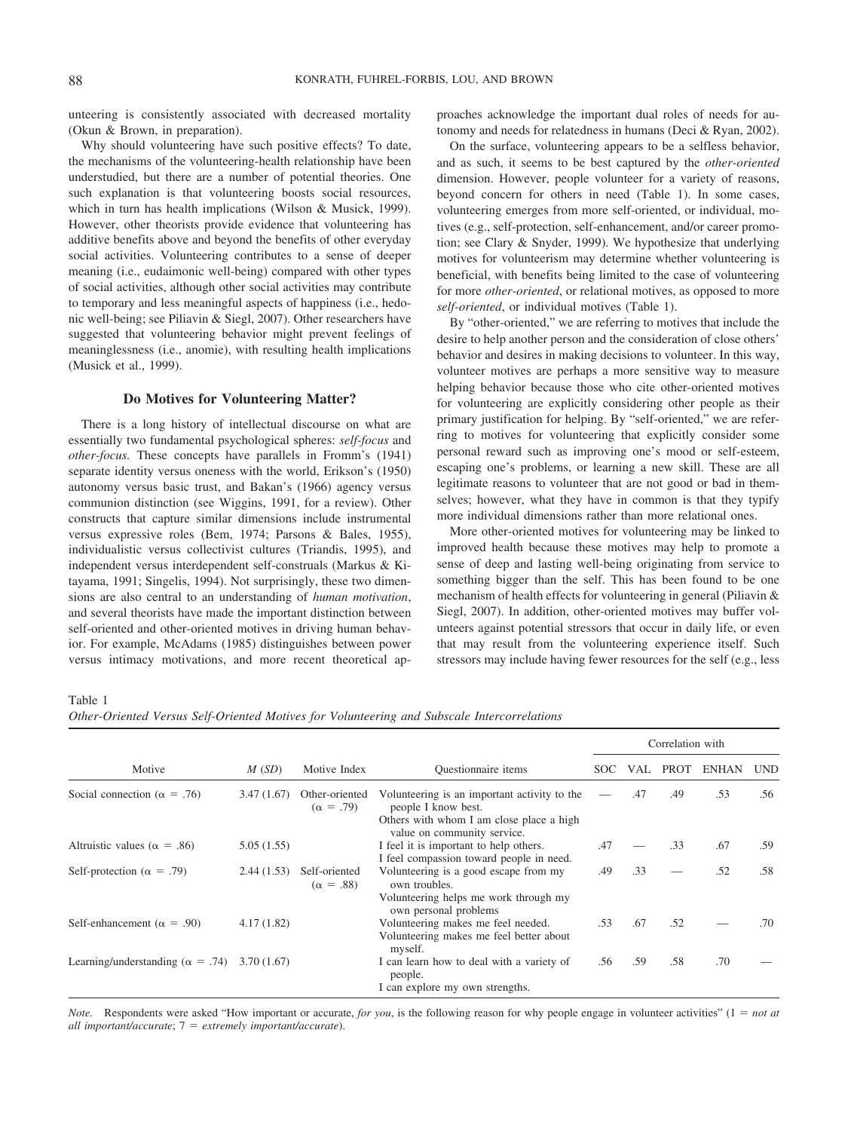unteering is consistently associated with decreased mortality (Okun & Brown, in preparation).

Why should volunteering have such positive effects? To date, the mechanisms of the volunteering-health relationship have been understudied, but there are a number of potential theories. One such explanation is that volunteering boosts social resources, which in turn has health implications (Wilson & Musick, 1999). However, other theorists provide evidence that volunteering has additive benefits above and beyond the benefits of other everyday social activities. Volunteering contributes to a sense of deeper meaning (i.e., eudaimonic well-being) compared with other types of social activities, although other social activities may contribute to temporary and less meaningful aspects of happiness (i.e., hedonic well-being; see Piliavin & Siegl, 2007). Other researchers have suggested that volunteering behavior might prevent feelings of meaninglessness (i.e., anomie), with resulting health implications (Musick et al., 1999).

## **Do Motives for Volunteering Matter?**

There is a long history of intellectual discourse on what are essentially two fundamental psychological spheres: *self-focus* and *other-focus.* These concepts have parallels in Fromm's (1941) separate identity versus oneness with the world, Erikson's (1950) autonomy versus basic trust, and Bakan's (1966) agency versus communion distinction (see Wiggins, 1991, for a review). Other constructs that capture similar dimensions include instrumental versus expressive roles (Bem, 1974; Parsons & Bales, 1955), individualistic versus collectivist cultures (Triandis, 1995), and independent versus interdependent self-construals (Markus & Kitayama, 1991; Singelis, 1994). Not surprisingly, these two dimensions are also central to an understanding of *human motivation*, and several theorists have made the important distinction between self-oriented and other-oriented motives in driving human behavior. For example, McAdams (1985) distinguishes between power versus intimacy motivations, and more recent theoretical approaches acknowledge the important dual roles of needs for autonomy and needs for relatedness in humans (Deci & Ryan, 2002).

On the surface, volunteering appears to be a selfless behavior, and as such, it seems to be best captured by the *other-oriented* dimension. However, people volunteer for a variety of reasons, beyond concern for others in need (Table 1). In some cases, volunteering emerges from more self-oriented, or individual, motives (e.g., self-protection, self-enhancement, and/or career promotion; see Clary & Snyder, 1999). We hypothesize that underlying motives for volunteerism may determine whether volunteering is beneficial, with benefits being limited to the case of volunteering for more *other-oriented*, or relational motives, as opposed to more *self-oriented*, or individual motives (Table 1).

By "other-oriented," we are referring to motives that include the desire to help another person and the consideration of close others' behavior and desires in making decisions to volunteer. In this way, volunteer motives are perhaps a more sensitive way to measure helping behavior because those who cite other-oriented motives for volunteering are explicitly considering other people as their primary justification for helping. By "self-oriented," we are referring to motives for volunteering that explicitly consider some personal reward such as improving one's mood or self-esteem, escaping one's problems, or learning a new skill. These are all legitimate reasons to volunteer that are not good or bad in themselves; however, what they have in common is that they typify more individual dimensions rather than more relational ones.

More other-oriented motives for volunteering may be linked to improved health because these motives may help to promote a sense of deep and lasting well-being originating from service to something bigger than the self. This has been found to be one mechanism of health effects for volunteering in general (Piliavin & Siegl, 2007). In addition, other-oriented motives may buffer volunteers against potential stressors that occur in daily life, or even that may result from the volunteering experience itself. Such stressors may include having fewer resources for the self (e.g., less

Table 1

*Other-Oriented Versus Self-Oriented Motives for Volunteering and Subscale Intercorrelations*

|                                           |            |                                    |                                                                         | Correlation with |     |             |              |     |  |
|-------------------------------------------|------------|------------------------------------|-------------------------------------------------------------------------|------------------|-----|-------------|--------------|-----|--|
| Motive                                    | M(SD)      | Motive Index                       | <b>Ouestionnaire</b> items                                              | SOC.             | VAL | <b>PROT</b> | <b>ENHAN</b> | UND |  |
| Social connection ( $\alpha = .76$ )      | 3.47(1.67) | Other-oriented<br>$(\alpha = .79)$ | Volunteering is an important activity to the<br>people I know best.     |                  | .47 | .49         | .53          | .56 |  |
|                                           |            |                                    | Others with whom I am close place a high<br>value on community service. |                  |     |             |              |     |  |
| Altruistic values ( $\alpha = .86$ )      | 5.05(1.55) |                                    | I feel it is important to help others.                                  | .47              |     | .33         | .67          | .59 |  |
|                                           |            |                                    | I feel compassion toward people in need.                                |                  |     |             |              |     |  |
| Self-protection ( $\alpha = .79$ )        | 2.44(1.53) | Self-oriented<br>$(\alpha = .88)$  | Volunteering is a good escape from my<br>own troubles.                  | .49              | .33 |             | .52          | .58 |  |
|                                           |            |                                    | Volunteering helps me work through my<br>own personal problems          |                  |     |             |              |     |  |
| Self-enhancement ( $\alpha = .90$ )       | 4.17(1.82) |                                    | Volunteering makes me feel needed.                                      | .53              | .67 | .52         |              | .70 |  |
|                                           |            |                                    | Volunteering makes me feel better about<br>myself.                      |                  |     |             |              |     |  |
| Learning/understanding ( $\alpha = .74$ ) | 3.70(1.67) |                                    | I can learn how to deal with a variety of<br>people.                    | .56              | .59 | .58         | .70          |     |  |
|                                           |            |                                    | I can explore my own strengths.                                         |                  |     |             |              |     |  |

*Note.* Respondents were asked "How important or accurate, *for you*, is the following reason for why people engage in volunteer activities" (1 - *not at all important/accurate*; 7 - *extremely important/accurate*).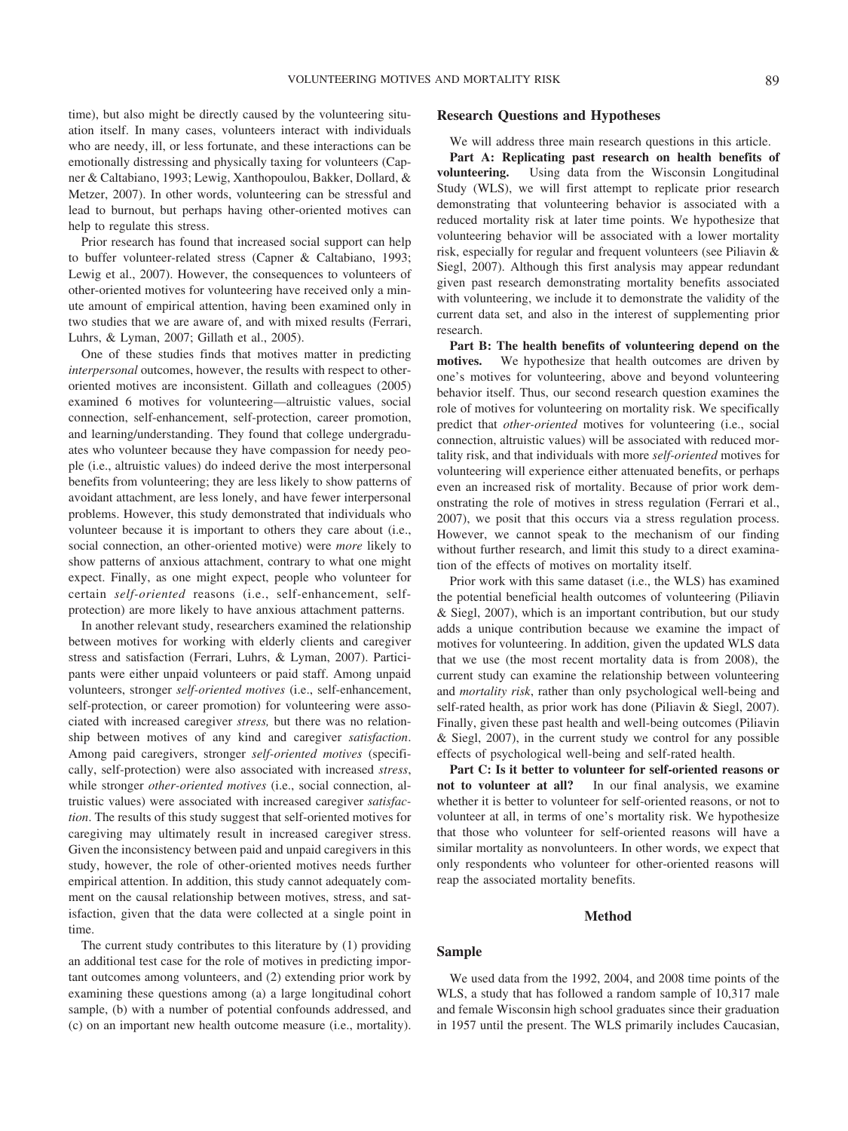time), but also might be directly caused by the volunteering situation itself. In many cases, volunteers interact with individuals who are needy, ill, or less fortunate, and these interactions can be emotionally distressing and physically taxing for volunteers (Capner & Caltabiano, 1993; Lewig, Xanthopoulou, Bakker, Dollard, & Metzer, 2007). In other words, volunteering can be stressful and lead to burnout, but perhaps having other-oriented motives can help to regulate this stress.

Prior research has found that increased social support can help to buffer volunteer-related stress (Capner & Caltabiano, 1993; Lewig et al., 2007). However, the consequences to volunteers of other-oriented motives for volunteering have received only a minute amount of empirical attention, having been examined only in two studies that we are aware of, and with mixed results (Ferrari, Luhrs, & Lyman, 2007; Gillath et al., 2005).

One of these studies finds that motives matter in predicting *interpersonal* outcomes, however, the results with respect to otheroriented motives are inconsistent. Gillath and colleagues (2005) examined 6 motives for volunteering—altruistic values, social connection, self-enhancement, self-protection, career promotion, and learning/understanding. They found that college undergraduates who volunteer because they have compassion for needy people (i.e., altruistic values) do indeed derive the most interpersonal benefits from volunteering; they are less likely to show patterns of avoidant attachment, are less lonely, and have fewer interpersonal problems. However, this study demonstrated that individuals who volunteer because it is important to others they care about (i.e., social connection, an other-oriented motive) were *more* likely to show patterns of anxious attachment, contrary to what one might expect. Finally, as one might expect, people who volunteer for certain *self-oriented* reasons (i.e., self-enhancement, selfprotection) are more likely to have anxious attachment patterns.

In another relevant study, researchers examined the relationship between motives for working with elderly clients and caregiver stress and satisfaction (Ferrari, Luhrs, & Lyman, 2007). Participants were either unpaid volunteers or paid staff. Among unpaid volunteers, stronger *self-oriented motives* (i.e., self-enhancement, self-protection, or career promotion) for volunteering were associated with increased caregiver *stress,* but there was no relationship between motives of any kind and caregiver *satisfaction*. Among paid caregivers, stronger *self-oriented motives* (specifically, self-protection) were also associated with increased *stress*, while stronger *other-oriented motives* (i.e., social connection, altruistic values) were associated with increased caregiver *satisfaction*. The results of this study suggest that self-oriented motives for caregiving may ultimately result in increased caregiver stress. Given the inconsistency between paid and unpaid caregivers in this study, however, the role of other-oriented motives needs further empirical attention. In addition, this study cannot adequately comment on the causal relationship between motives, stress, and satisfaction, given that the data were collected at a single point in time.

The current study contributes to this literature by (1) providing an additional test case for the role of motives in predicting important outcomes among volunteers, and (2) extending prior work by examining these questions among (a) a large longitudinal cohort sample, (b) with a number of potential confounds addressed, and (c) on an important new health outcome measure (i.e., mortality).

## **Research Questions and Hypotheses**

We will address three main research questions in this article.

**Part A: Replicating past research on health benefits of volunteering.** Using data from the Wisconsin Longitudinal Study (WLS), we will first attempt to replicate prior research demonstrating that volunteering behavior is associated with a reduced mortality risk at later time points. We hypothesize that volunteering behavior will be associated with a lower mortality risk, especially for regular and frequent volunteers (see Piliavin & Siegl, 2007). Although this first analysis may appear redundant given past research demonstrating mortality benefits associated with volunteering, we include it to demonstrate the validity of the current data set, and also in the interest of supplementing prior research.

**Part B: The health benefits of volunteering depend on the motives.** We hypothesize that health outcomes are driven by one's motives for volunteering, above and beyond volunteering behavior itself. Thus, our second research question examines the role of motives for volunteering on mortality risk. We specifically predict that *other-oriented* motives for volunteering (i.e., social connection, altruistic values) will be associated with reduced mortality risk, and that individuals with more *self-oriented* motives for volunteering will experience either attenuated benefits, or perhaps even an increased risk of mortality. Because of prior work demonstrating the role of motives in stress regulation (Ferrari et al., 2007), we posit that this occurs via a stress regulation process. However, we cannot speak to the mechanism of our finding without further research, and limit this study to a direct examination of the effects of motives on mortality itself.

Prior work with this same dataset (i.e., the WLS) has examined the potential beneficial health outcomes of volunteering (Piliavin & Siegl, 2007), which is an important contribution, but our study adds a unique contribution because we examine the impact of motives for volunteering. In addition, given the updated WLS data that we use (the most recent mortality data is from 2008), the current study can examine the relationship between volunteering and *mortality risk*, rather than only psychological well-being and self-rated health, as prior work has done (Piliavin & Siegl, 2007). Finally, given these past health and well-being outcomes (Piliavin & Siegl, 2007), in the current study we control for any possible effects of psychological well-being and self-rated health.

**Part C: Is it better to volunteer for self-oriented reasons or not to volunteer at all?** In our final analysis, we examine whether it is better to volunteer for self-oriented reasons, or not to volunteer at all, in terms of one's mortality risk. We hypothesize that those who volunteer for self-oriented reasons will have a similar mortality as nonvolunteers. In other words, we expect that only respondents who volunteer for other-oriented reasons will reap the associated mortality benefits.

## **Method**

#### **Sample**

We used data from the 1992, 2004, and 2008 time points of the WLS, a study that has followed a random sample of 10,317 male and female Wisconsin high school graduates since their graduation in 1957 until the present. The WLS primarily includes Caucasian,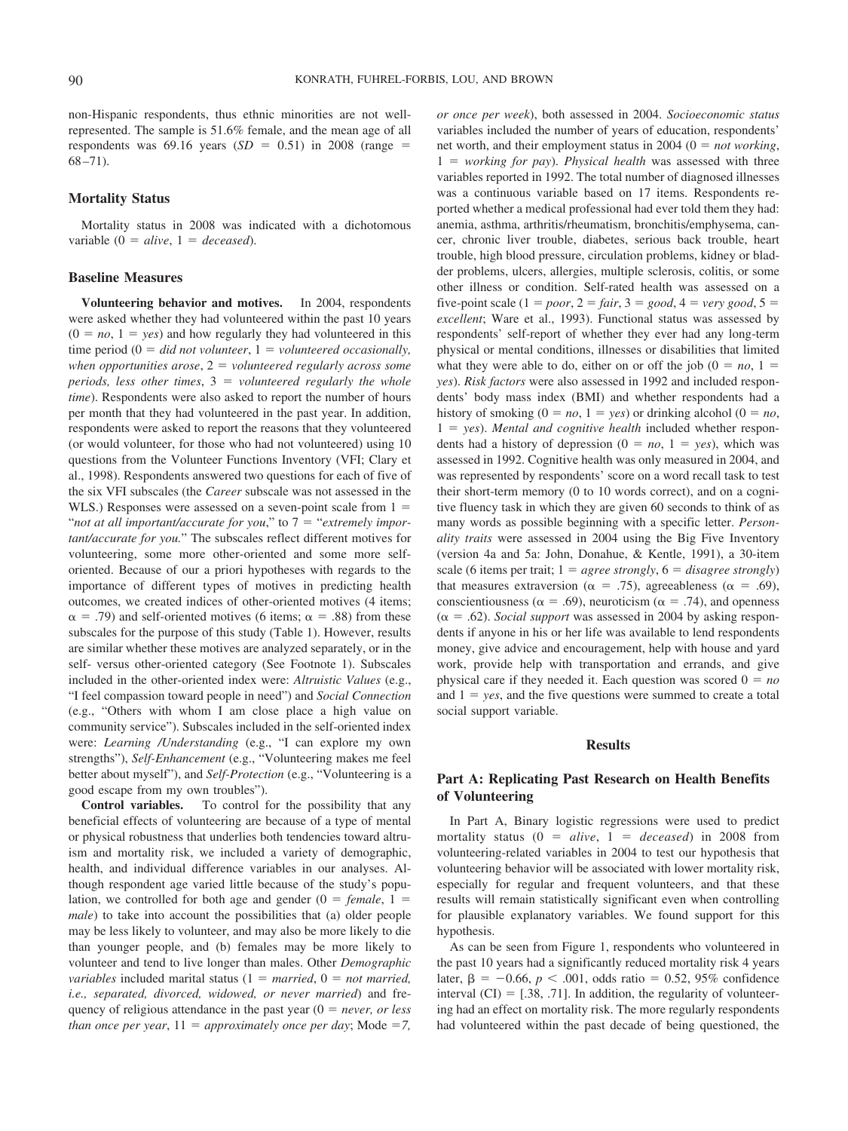non-Hispanic respondents, thus ethnic minorities are not wellrepresented. The sample is 51.6% female, and the mean age of all respondents was  $69.16$  years  $(SD = 0.51)$  in 2008 (range =  $68 - 71$ ).

#### **Mortality Status**

Mortality status in 2008 was indicated with a dichotomous variable  $(0 = alive, 1 = deceased).$ 

#### **Baseline Measures**

**Volunteering behavior and motives.** In 2004, respondents were asked whether they had volunteered within the past 10 years  $(0 = no, 1 = yes)$  and how regularly they had volunteered in this  $time period (0 = did not volume, 1 = volume)$  *volunteer*,  $1 = volume$ when opportunities arose,  $2 =$  volunteered regularly across some  $periods$ , less other times,  $3 = volume$  *volunteered regularly the whole time*). Respondents were also asked to report the number of hours per month that they had volunteered in the past year. In addition, respondents were asked to report the reasons that they volunteered (or would volunteer, for those who had not volunteered) using 10 questions from the Volunteer Functions Inventory (VFI; Clary et al., 1998). Respondents answered two questions for each of five of the six VFI subscales (the *Career* subscale was not assessed in the WLS.) Responses were assessed on a seven-point scale from  $1 =$ "not at all important/accurate for you," to  $7 =$  "extremely impor*tant/accurate for you.*" The subscales reflect different motives for volunteering, some more other-oriented and some more selforiented. Because of our a priori hypotheses with regards to the importance of different types of motives in predicting health outcomes, we created indices of other-oriented motives (4 items;  $\alpha = .79$ ) and self-oriented motives (6 items;  $\alpha = .88$ ) from these subscales for the purpose of this study (Table 1). However, results are similar whether these motives are analyzed separately, or in the self- versus other-oriented category (See Footnote 1). Subscales included in the other-oriented index were: *Altruistic Values* (e.g., "I feel compassion toward people in need") and *Social Connection* (e.g., "Others with whom I am close place a high value on community service"). Subscales included in the self-oriented index were: *Learning /Understanding* (e.g., "I can explore my own strengths"), *Self-Enhancement* (e.g., "Volunteering makes me feel better about myself"), and *Self-Protection* (e.g., "Volunteering is a good escape from my own troubles").

**Control variables.** To control for the possibility that any beneficial effects of volunteering are because of a type of mental or physical robustness that underlies both tendencies toward altruism and mortality risk, we included a variety of demographic, health, and individual difference variables in our analyses. Although respondent age varied little because of the study's population, we controlled for both age and gender  $(0 = female, 1 =$ *male*) to take into account the possibilities that (a) older people may be less likely to volunteer, and may also be more likely to die than younger people, and (b) females may be more likely to volunteer and tend to live longer than males. Other *Demographic variables* included marital status  $(1 = married, 0 = not married,$ *i.e., separated, divorced, widowed, or never married*) and frequency of religious attendance in the past year  $(0 = never, or less)$ *than once per year,*  $11 = approximately once per day$ ; Mode =7,

*or once per week*), both assessed in 2004. *Socioeconomic status* variables included the number of years of education, respondents' net worth, and their employment status in  $2004$  ( $0 = not working$ ,  $1 =$  *working for pay*). *Physical health* was assessed with three variables reported in 1992. The total number of diagnosed illnesses was a continuous variable based on 17 items. Respondents reported whether a medical professional had ever told them they had: anemia, asthma, arthritis/rheumatism, bronchitis/emphysema, cancer, chronic liver trouble, diabetes, serious back trouble, heart trouble, high blood pressure, circulation problems, kidney or bladder problems, ulcers, allergies, multiple sclerosis, colitis, or some other illness or condition. Self-rated health was assessed on a five-point scale  $(1 = poor, 2 = fair, 3 = good, 4 = very good, 5 =$ *excellent*; Ware et al., 1993). Functional status was assessed by respondents' self-report of whether they ever had any long-term physical or mental conditions, illnesses or disabilities that limited what they were able to do, either on or off the job  $(0 = no, 1 =$ *yes*). *Risk factors* were also assessed in 1992 and included respondents' body mass index (BMI) and whether respondents had a history of smoking  $(0 = no, 1 = yes)$  or drinking alcohol  $(0 = no,$ 1 = yes). Mental and cognitive health included whether respondents had a history of depression  $(0 = no, 1 = yes)$ , which was assessed in 1992. Cognitive health was only measured in 2004, and was represented by respondents' score on a word recall task to test their short-term memory (0 to 10 words correct), and on a cognitive fluency task in which they are given 60 seconds to think of as many words as possible beginning with a specific letter. *Personality traits* were assessed in 2004 using the Big Five Inventory (version 4a and 5a: John, Donahue, & Kentle, 1991), a 30-item scale (6 items per trait;  $1 = agree \, strongly, 6 = disagree \, strongly)$ that measures extraversion ( $\alpha = .75$ ), agreeableness ( $\alpha = .69$ ), conscientiousness ( $\alpha = .69$ ), neuroticism ( $\alpha = .74$ ), and openness  $(\alpha = .62)$ . *Social support* was assessed in 2004 by asking respondents if anyone in his or her life was available to lend respondents money, give advice and encouragement, help with house and yard work, provide help with transportation and errands, and give physical care if they needed it. Each question was scored  $0 = no$ and  $1 = yes$ , and the five questions were summed to create a total social support variable.

#### **Results**

# **Part A: Replicating Past Research on Health Benefits of Volunteering**

In Part A, Binary logistic regressions were used to predict mortality status  $(0 = alive, 1 = deceased)$  in 2008 from volunteering-related variables in 2004 to test our hypothesis that volunteering behavior will be associated with lower mortality risk, especially for regular and frequent volunteers, and that these results will remain statistically significant even when controlling for plausible explanatory variables. We found support for this hypothesis.

As can be seen from Figure 1, respondents who volunteered in the past 10 years had a significantly reduced mortality risk 4 years later,  $\beta = -0.66, p < .001$ , odds ratio = 0.52, 95% confidence interval  $(CI) = [.38, .71]$ . In addition, the regularity of volunteering had an effect on mortality risk. The more regularly respondents had volunteered within the past decade of being questioned, the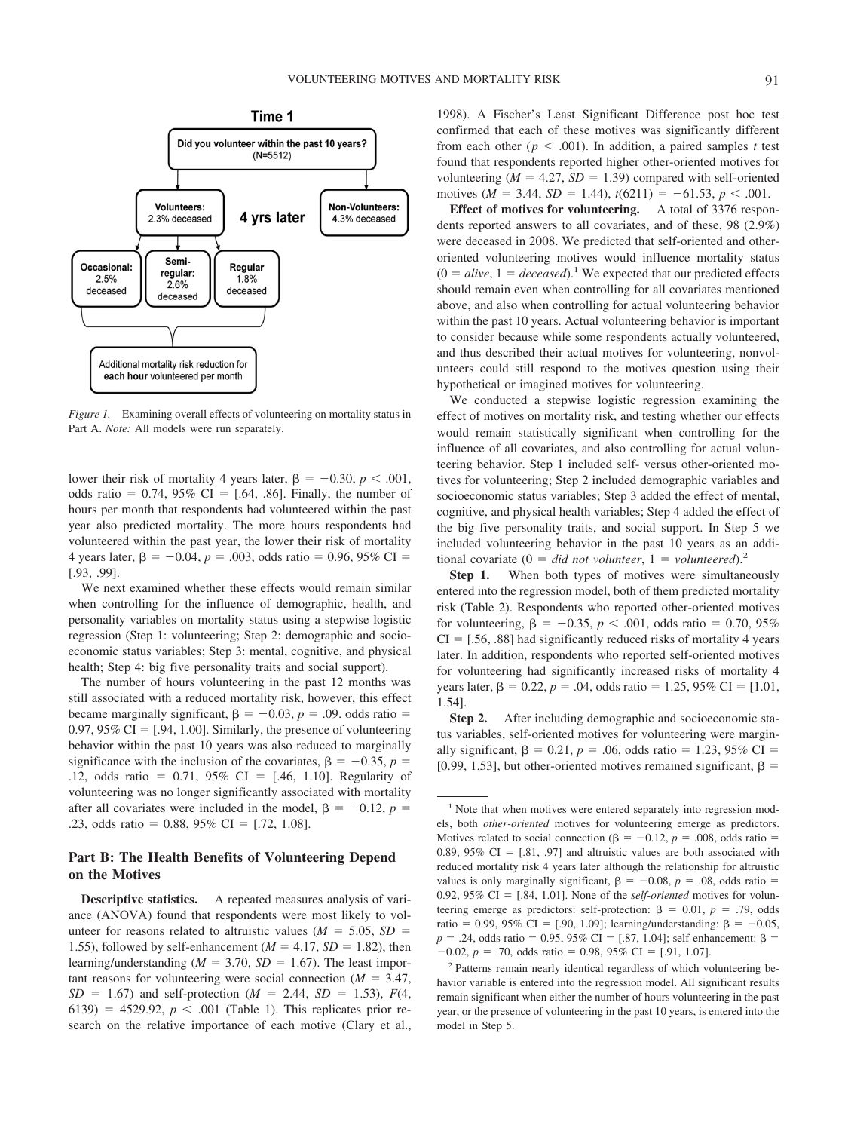

*Figure 1.* Examining overall effects of volunteering on mortality status in Part A. *Note:* All models were run separately.

lower their risk of mortality 4 years later,  $\beta = -0.30, p < .001$ , odds ratio =  $0.74$ ,  $95\%$  CI = [.64, .86]. Finally, the number of hours per month that respondents had volunteered within the past year also predicted mortality. The more hours respondents had volunteered within the past year, the lower their risk of mortality 4 years later,  $\beta = -0.04$ ,  $p = .003$ , odds ratio = 0.96, 95% CI = [.93, .99].

We next examined whether these effects would remain similar when controlling for the influence of demographic, health, and personality variables on mortality status using a stepwise logistic regression (Step 1: volunteering; Step 2: demographic and socioeconomic status variables; Step 3: mental, cognitive, and physical health; Step 4: big five personality traits and social support).

The number of hours volunteering in the past 12 months was still associated with a reduced mortality risk, however, this effect became marginally significant,  $\beta = -0.03$ ,  $p = .09$ . odds ratio =  $0.97, 95\%$  CI = [.94, 1.00]. Similarly, the presence of volunteering behavior within the past 10 years was also reduced to marginally significance with the inclusion of the covariates,  $\beta = -0.35$ ,  $p =$ .12, odds ratio =  $0.71$ ,  $95\%$  CI = [.46, 1.10]. Regularity of volunteering was no longer significantly associated with mortality after all covariates were included in the model,  $\beta = -0.12$ ,  $p =$ .23, odds ratio =  $0.88$ ,  $95\%$  CI = [.72, 1.08].

# **Part B: The Health Benefits of Volunteering Depend on the Motives**

**Descriptive statistics.** A repeated measures analysis of variance (ANOVA) found that respondents were most likely to volunteer for reasons related to altruistic values ( $M = 5.05$ ,  $SD =$ 1.55), followed by self-enhancement ( $M = 4.17$ ,  $SD = 1.82$ ), then learning/understanding  $(M = 3.70, SD = 1.67)$ . The least important reasons for volunteering were social connection  $(M = 3.47)$ ,  $SD = 1.67$ ) and self-protection ( $M = 2.44$ ,  $SD = 1.53$ ),  $F(4, 1.54)$  $(6139) = 4529.92, p < .001$  (Table 1). This replicates prior research on the relative importance of each motive (Clary et al.,

1998). A Fischer's Least Significant Difference post hoc test confirmed that each of these motives was significantly different from each other ( $p < .001$ ). In addition, a paired samples *t* test found that respondents reported higher other-oriented motives for volunteering  $(M = 4.27, SD = 1.39)$  compared with self-oriented motives  $(M = 3.44, SD = 1.44), t(6211) = -61.53, p < .001$ .

**Effect of motives for volunteering.** A total of 3376 respondents reported answers to all covariates, and of these, 98 (2.9%) were deceased in 2008. We predicted that self-oriented and otheroriented volunteering motives would influence mortality status  $(0 = alive, 1 = decoded).<sup>1</sup>$  We expected that our predicted effects should remain even when controlling for all covariates mentioned above, and also when controlling for actual volunteering behavior within the past 10 years. Actual volunteering behavior is important to consider because while some respondents actually volunteered, and thus described their actual motives for volunteering, nonvolunteers could still respond to the motives question using their hypothetical or imagined motives for volunteering.

We conducted a stepwise logistic regression examining the effect of motives on mortality risk, and testing whether our effects would remain statistically significant when controlling for the influence of all covariates, and also controlling for actual volunteering behavior. Step 1 included self- versus other-oriented motives for volunteering; Step 2 included demographic variables and socioeconomic status variables; Step 3 added the effect of mental, cognitive, and physical health variables; Step 4 added the effect of the big five personality traits, and social support. In Step 5 we included volunteering behavior in the past 10 years as an addi- $\mu$  tional covariate ( $0 = did not$  *volunteer*,  $1 = volume$ 

**Step 1.** When both types of motives were simultaneously entered into the regression model, both of them predicted mortality risk (Table 2). Respondents who reported other-oriented motives for volunteering,  $\beta = -0.35, p < .001$ , odds ratio = 0.70, 95%  $CI = [.56, .88]$  had significantly reduced risks of mortality 4 years later. In addition, respondents who reported self-oriented motives for volunteering had significantly increased risks of mortality 4 years later,  $\beta = 0.22$ ,  $p = 0.04$ , odds ratio = 1.25, 95% CI = [1.01, 1.54].

**Step 2.** After including demographic and socioeconomic status variables, self-oriented motives for volunteering were marginally significant,  $\beta = 0.21$ ,  $p = 0.06$ , odds ratio = 1.23, 95% CI = [0.99, 1.53], but other-oriented motives remained significant,  $\beta$  =

<sup>&</sup>lt;sup>1</sup> Note that when motives were entered separately into regression models, both *other-oriented* motives for volunteering emerge as predictors. Motives related to social connection ( $\beta = -0.12$ ,  $p = .008$ , odds ratio = 0.89, 95%  $CI = [.81, .97]$  and altruistic values are both associated with reduced mortality risk 4 years later although the relationship for altruistic values is only marginally significant,  $\beta = -0.08$ ,  $p = .08$ , odds ratio = 0.92, 95% CI =  $[0.84, 1.01]$ . None of the *self-oriented* motives for volunteering emerge as predictors: self-protection:  $\beta = 0.01$ ,  $p = .79$ , odds ratio = 0.99, 95% CI = [.90, 1.09]; learning/understanding:  $\beta = -0.05$ ,  $p = .24$ , odds ratio = 0.95, 95% CI = [.87, 1.04]; self-enhancement:  $\beta$  =  $-0.02$ ,  $p = .70$ , odds ratio = 0.98, 95% CI = [.91, 1.07].

<sup>2</sup> Patterns remain nearly identical regardless of which volunteering behavior variable is entered into the regression model. All significant results remain significant when either the number of hours volunteering in the past year, or the presence of volunteering in the past 10 years, is entered into the model in Step 5.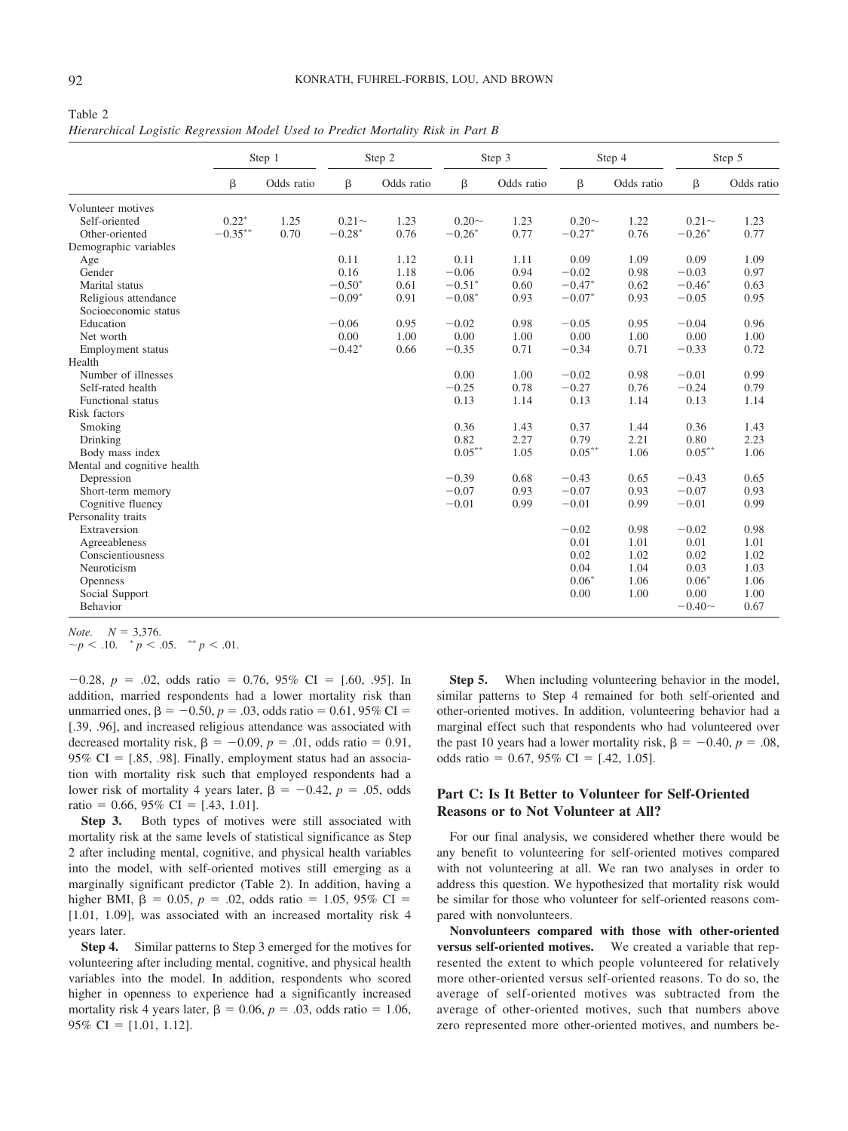| Table 2                                                                         |  |  |  |  |
|---------------------------------------------------------------------------------|--|--|--|--|
| Hierarchical Logistic Regression Model Used to Predict Mortality Risk in Part B |  |  |  |  |

|                             | Step 1     |            | Step 2   |            | Step 3            |            | Step 4    |            | Step 5    |            |
|-----------------------------|------------|------------|----------|------------|-------------------|------------|-----------|------------|-----------|------------|
|                             | β          | Odds ratio | β        | Odds ratio | $\beta$           | Odds ratio | β         | Odds ratio | β         | Odds ratio |
| Volunteer motives           |            |            |          |            |                   |            |           |            |           |            |
| Self-oriented               | $0.22*$    | 1.25       | $0.21 -$ | 1.23       | $0.20 -$          | 1.23       | $0.20 -$  | 1.22       | $0.21 -$  | 1.23       |
| Other-oriented              | $-0.35***$ | 0.70       | $-0.28*$ | 0.76       | $-0.26*$          | 0.77       | $-0.27*$  | 0.76       | $-0.26*$  | 0.77       |
| Demographic variables       |            |            |          |            |                   |            |           |            |           |            |
| Age                         |            |            | 0.11     | 1.12       | 0.11              | 1.11       | 0.09      | 1.09       | 0.09      | 1.09       |
| Gender                      |            |            | 0.16     | 1.18       | $-0.06$           | 0.94       | $-0.02$   | 0.98       | $-0.03$   | 0.97       |
| Marital status              |            |            | $-0.50*$ | 0.61       | $-0.51^*$         | 0.60       | $-0.47*$  | 0.62       | $-0.46^*$ | 0.63       |
| Religious attendance        |            |            | $-0.09*$ | 0.91       | $-0.08*$          | 0.93       | $-0.07*$  | 0.93       | $-0.05$   | 0.95       |
| Socioeconomic status        |            |            |          |            |                   |            |           |            |           |            |
| Education                   |            |            | $-0.06$  | 0.95       | $-0.02$           | 0.98       | $-0.05$   | 0.95       | $-0.04$   | 0.96       |
| Net worth                   |            |            | 0.00     | 1.00       | 0.00              | 1.00       | 0.00      | 1.00       | 0.00      | 1.00       |
| Employment status           |            |            | $-0.42*$ | 0.66       | $-0.35$           | 0.71       | $-0.34$   | 0.71       | $-0.33$   | 0.72       |
| Health                      |            |            |          |            |                   |            |           |            |           |            |
| Number of illnesses         |            |            |          |            | 0.00              | 1.00       | $-0.02$   | 0.98       | $-0.01$   | 0.99       |
| Self-rated health           |            |            |          |            | $-0.25$           | 0.78       | $-0.27$   | 0.76       | $-0.24$   | 0.79       |
| Functional status           |            |            |          |            | 0.13              | 1.14       | 0.13      | 1.14       | 0.13      | 1.14       |
| Risk factors                |            |            |          |            |                   |            |           |            |           |            |
| Smoking                     |            |            |          |            | 0.36              | 1.43       | 0.37      | 1.44       | 0.36      | 1.43       |
| Drinking                    |            |            |          |            | 0.82              | 2.27       | 0.79      | 2.21       | 0.80      | 2.23       |
| Body mass index             |            |            |          |            | $0.05^{\ast\ast}$ | 1.05       | $0.05***$ | 1.06       | $0.05***$ | 1.06       |
| Mental and cognitive health |            |            |          |            |                   |            |           |            |           |            |
| Depression                  |            |            |          |            | $-0.39$           | 0.68       | $-0.43$   | 0.65       | $-0.43$   | 0.65       |
| Short-term memory           |            |            |          |            | $-0.07$           | 0.93       | $-0.07$   | 0.93       | $-0.07$   | 0.93       |
| Cognitive fluency           |            |            |          |            | $-0.01$           | 0.99       | $-0.01$   | 0.99       | $-0.01$   | 0.99       |
| Personality traits          |            |            |          |            |                   |            |           |            |           |            |
| Extraversion                |            |            |          |            |                   |            | $-0.02$   | 0.98       | $-0.02$   | 0.98       |
| Agreeableness               |            |            |          |            |                   |            | 0.01      | 1.01       | 0.01      | 1.01       |
| Conscientiousness           |            |            |          |            |                   |            | 0.02      | 1.02       | 0.02      | 1.02       |
| Neuroticism                 |            |            |          |            |                   |            | 0.04      | 1.04       | 0.03      | 1.03       |
| Openness                    |            |            |          |            |                   |            | $0.06*$   | 1.06       | $0.06*$   | 1.06       |
| Social Support              |            |            |          |            |                   |            | 0.00      | 1.00       | 0.00      | 1.00       |
| <b>Behavior</b>             |            |            |          |            |                   |            |           |            | $-0.40-$  | 0.67       |

*Note.*  $N = 3,376$ .  $\neg p < .10.$   $\neg p < .05.$   $\neg p < .01.$ 

 $-0.28$ ,  $p = .02$ , odds ratio = 0.76, 95% CI = [.60, .95]. In addition, married respondents had a lower mortality risk than unmarried ones,  $\beta = -0.50, p = .03$ , odds ratio = 0.61, 95% CI = [.39, .96], and increased religious attendance was associated with decreased mortality risk,  $\beta = -0.09$ ,  $p = .01$ , odds ratio = 0.91,  $95\%$  CI = [.85, .98]. Finally, employment status had an association with mortality risk such that employed respondents had a lower risk of mortality 4 years later,  $\beta = -0.42$ ,  $p = .05$ , odds ratio =  $0.66$ ,  $95\%$  CI = [.43, 1.01].

**Step 3.** Both types of motives were still associated with mortality risk at the same levels of statistical significance as Step 2 after including mental, cognitive, and physical health variables into the model, with self-oriented motives still emerging as a marginally significant predictor (Table 2). In addition, having a higher BMI,  $\beta = 0.05$ ,  $p = .02$ , odds ratio = 1.05, 95% CI = [1.01, 1.09], was associated with an increased mortality risk 4 years later.

**Step 4.** Similar patterns to Step 3 emerged for the motives for volunteering after including mental, cognitive, and physical health variables into the model. In addition, respondents who scored higher in openness to experience had a significantly increased mortality risk 4 years later,  $\beta = 0.06$ ,  $p = .03$ , odds ratio = 1.06,  $95\%$  CI = [1.01, 1.12].

**Step 5.** When including volunteering behavior in the model, similar patterns to Step 4 remained for both self-oriented and other-oriented motives. In addition, volunteering behavior had a marginal effect such that respondents who had volunteered over the past 10 years had a lower mortality risk,  $\beta = -0.40$ ,  $p = .08$ , odds ratio =  $0.67$ ,  $95\%$  CI = [.42, 1.05].

# **Part C: Is It Better to Volunteer for Self-Oriented Reasons or to Not Volunteer at All?**

For our final analysis, we considered whether there would be any benefit to volunteering for self-oriented motives compared with not volunteering at all. We ran two analyses in order to address this question. We hypothesized that mortality risk would be similar for those who volunteer for self-oriented reasons compared with nonvolunteers.

**Nonvolunteers compared with those with other-oriented versus self-oriented motives.** We created a variable that represented the extent to which people volunteered for relatively more other-oriented versus self-oriented reasons. To do so, the average of self-oriented motives was subtracted from the average of other-oriented motives, such that numbers above zero represented more other-oriented motives, and numbers be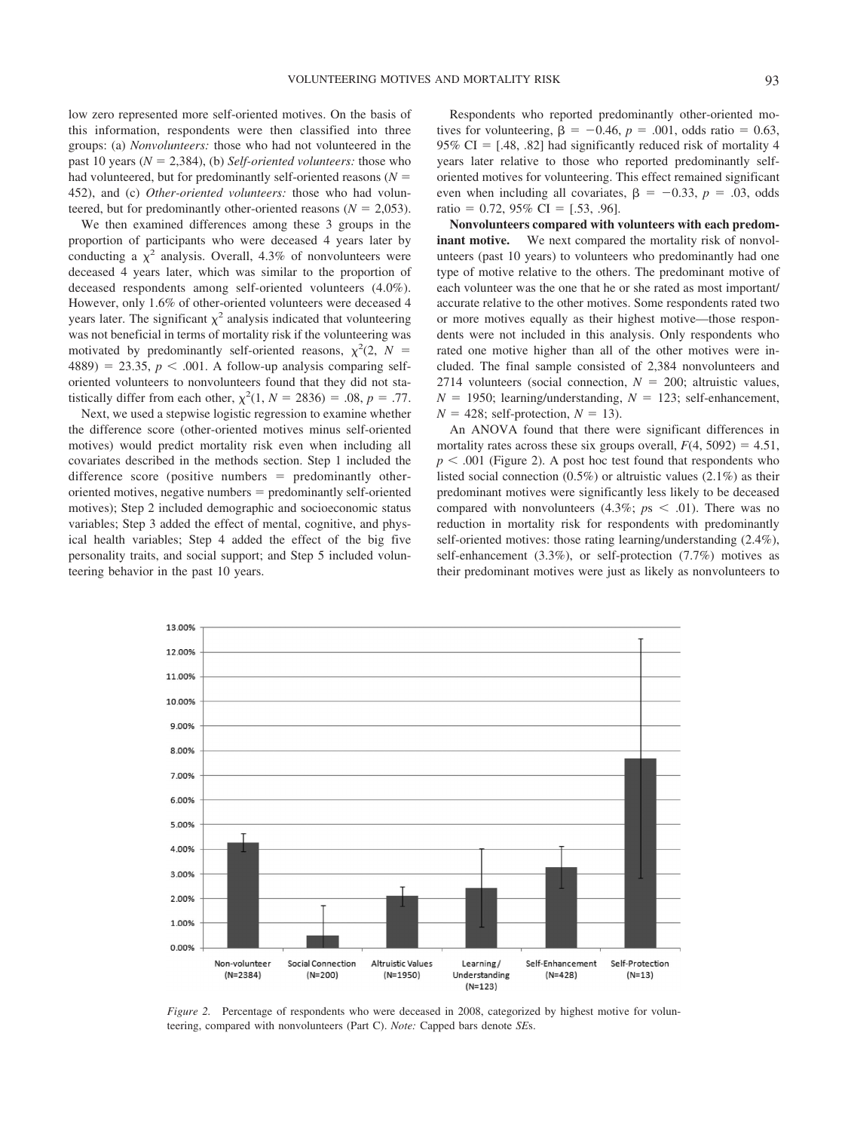low zero represented more self-oriented motives. On the basis of this information, respondents were then classified into three groups: (a) *Nonvolunteers:* those who had not volunteered in the past 10 years  $(N = 2,384)$ , (b) *Self-oriented volunteers:* those who had volunteered, but for predominantly self-oriented reasons  $(N =$ 452), and (c) *Other-oriented volunteers:* those who had volunteered, but for predominantly other-oriented reasons ( $N = 2,053$ ).

We then examined differences among these 3 groups in the proportion of participants who were deceased 4 years later by conducting a  $\chi^2$  analysis. Overall, 4.3% of nonvolunteers were deceased 4 years later, which was similar to the proportion of deceased respondents among self-oriented volunteers (4.0%). However, only 1.6% of other-oriented volunteers were deceased 4 years later. The significant  $\chi^2$  analysis indicated that volunteering was not beneficial in terms of mortality risk if the volunteering was motivated by predominantly self-oriented reasons,  $\chi^2(2, N =$  $4889$ ) = 23.35,  $p < .001$ . A follow-up analysis comparing selforiented volunteers to nonvolunteers found that they did not statistically differ from each other,  $\chi^2(1, N = 2836) = .08$ ,  $p = .77$ .

Next, we used a stepwise logistic regression to examine whether the difference score (other-oriented motives minus self-oriented motives) would predict mortality risk even when including all covariates described in the methods section. Step 1 included the difference score (positive numbers  $=$  predominantly otheroriented motives, negative numbers = predominantly self-oriented motives); Step 2 included demographic and socioeconomic status variables; Step 3 added the effect of mental, cognitive, and physical health variables; Step 4 added the effect of the big five personality traits, and social support; and Step 5 included volunteering behavior in the past 10 years.

Respondents who reported predominantly other-oriented motives for volunteering,  $\beta = -0.46$ ,  $p = .001$ , odds ratio = 0.63,  $95\%$  CI = [.48, .82] had significantly reduced risk of mortality 4 years later relative to those who reported predominantly selforiented motives for volunteering. This effect remained significant even when including all covariates,  $\beta = -0.33$ ,  $p = .03$ , odds ratio =  $0.72$ ,  $95\%$  CI = [.53, .96].

**Nonvolunteers compared with volunteers with each predominant motive.** We next compared the mortality risk of nonvolunteers (past 10 years) to volunteers who predominantly had one type of motive relative to the others. The predominant motive of each volunteer was the one that he or she rated as most important/ accurate relative to the other motives. Some respondents rated two or more motives equally as their highest motive—those respondents were not included in this analysis. Only respondents who rated one motive higher than all of the other motives were included. The final sample consisted of 2,384 nonvolunteers and 2714 volunteers (social connection,  $N = 200$ ; altruistic values,  $N = 1950$ ; learning/understanding,  $N = 123$ ; self-enhancement,  $N = 428$ ; self-protection,  $N = 13$ ).

An ANOVA found that there were significant differences in mortality rates across these six groups overall,  $F(4, 5092) = 4.51$ ,  $p \leq .001$  (Figure 2). A post hoc test found that respondents who listed social connection (0.5%) or altruistic values (2.1%) as their predominant motives were significantly less likely to be deceased compared with nonvolunteers  $(4.3\%; ps < .01)$ . There was no reduction in mortality risk for respondents with predominantly self-oriented motives: those rating learning/understanding (2.4%), self-enhancement (3.3%), or self-protection (7.7%) motives as their predominant motives were just as likely as nonvolunteers to



*Figure 2.* Percentage of respondents who were deceased in 2008, categorized by highest motive for volunteering, compared with nonvolunteers (Part C). *Note:* Capped bars denote *SE*s.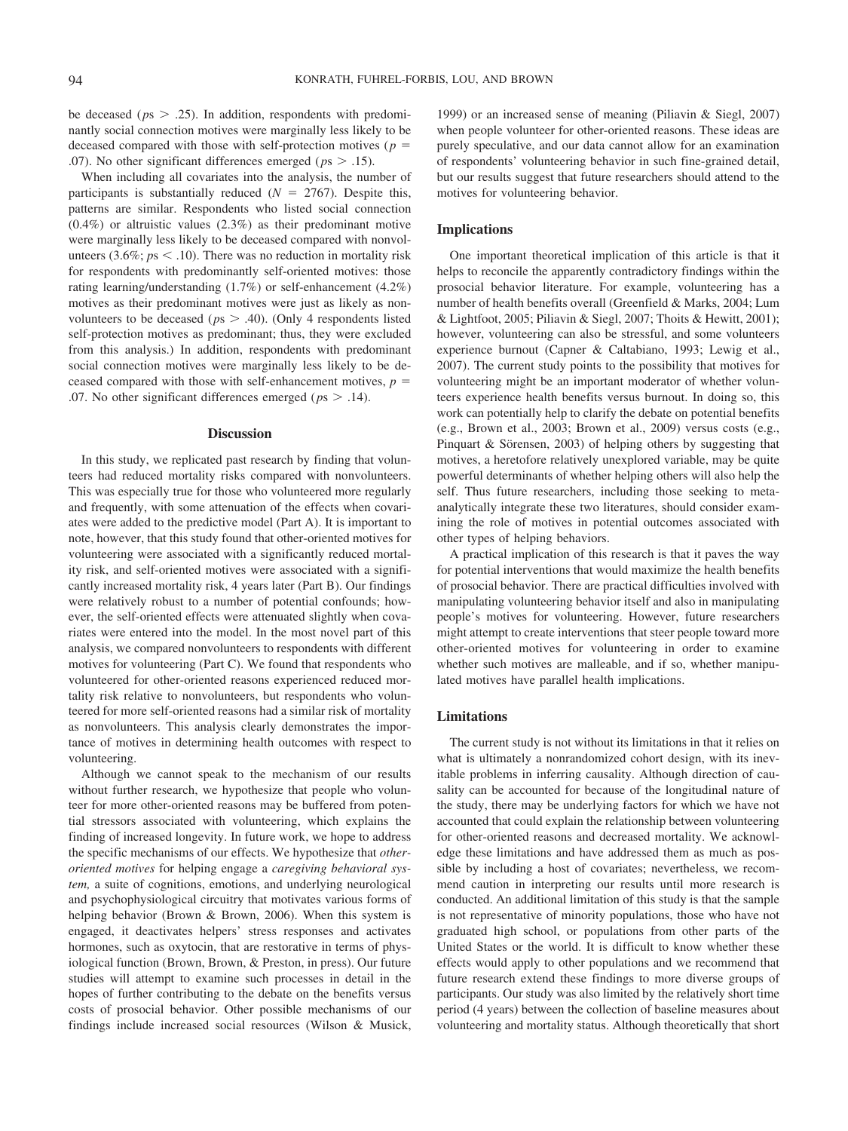be deceased ( $p_s > .25$ ). In addition, respondents with predominantly social connection motives were marginally less likely to be deceased compared with those with self-protection motives ( $p =$ .07). No other significant differences emerged ( $p_s > .15$ ).

When including all covariates into the analysis, the number of participants is substantially reduced  $(N = 2767)$ . Despite this, patterns are similar. Respondents who listed social connection (0.4%) or altruistic values (2.3%) as their predominant motive were marginally less likely to be deceased compared with nonvolunteers  $(3.6\%; ps < .10)$ . There was no reduction in mortality risk for respondents with predominantly self-oriented motives: those rating learning/understanding (1.7%) or self-enhancement (4.2%) motives as their predominant motives were just as likely as nonvolunteers to be deceased ( $ps > .40$ ). (Only 4 respondents listed self-protection motives as predominant; thus, they were excluded from this analysis.) In addition, respondents with predominant social connection motives were marginally less likely to be deceased compared with those with self-enhancement motives,  $p =$ .07. No other significant differences emerged ( $ps > .14$ ).

### **Discussion**

In this study, we replicated past research by finding that volunteers had reduced mortality risks compared with nonvolunteers. This was especially true for those who volunteered more regularly and frequently, with some attenuation of the effects when covariates were added to the predictive model (Part A). It is important to note, however, that this study found that other-oriented motives for volunteering were associated with a significantly reduced mortality risk, and self-oriented motives were associated with a significantly increased mortality risk, 4 years later (Part B). Our findings were relatively robust to a number of potential confounds; however, the self-oriented effects were attenuated slightly when covariates were entered into the model. In the most novel part of this analysis, we compared nonvolunteers to respondents with different motives for volunteering (Part C). We found that respondents who volunteered for other-oriented reasons experienced reduced mortality risk relative to nonvolunteers, but respondents who volunteered for more self-oriented reasons had a similar risk of mortality as nonvolunteers. This analysis clearly demonstrates the importance of motives in determining health outcomes with respect to volunteering.

Although we cannot speak to the mechanism of our results without further research, we hypothesize that people who volunteer for more other-oriented reasons may be buffered from potential stressors associated with volunteering, which explains the finding of increased longevity. In future work, we hope to address the specific mechanisms of our effects. We hypothesize that *otheroriented motives* for helping engage a *caregiving behavioral system,* a suite of cognitions, emotions, and underlying neurological and psychophysiological circuitry that motivates various forms of helping behavior (Brown & Brown, 2006). When this system is engaged, it deactivates helpers' stress responses and activates hormones, such as oxytocin, that are restorative in terms of physiological function (Brown, Brown, & Preston, in press). Our future studies will attempt to examine such processes in detail in the hopes of further contributing to the debate on the benefits versus costs of prosocial behavior. Other possible mechanisms of our findings include increased social resources (Wilson & Musick,

1999) or an increased sense of meaning (Piliavin & Siegl, 2007) when people volunteer for other-oriented reasons. These ideas are purely speculative, and our data cannot allow for an examination of respondents' volunteering behavior in such fine-grained detail, but our results suggest that future researchers should attend to the motives for volunteering behavior.

## **Implications**

One important theoretical implication of this article is that it helps to reconcile the apparently contradictory findings within the prosocial behavior literature. For example, volunteering has a number of health benefits overall (Greenfield & Marks, 2004; Lum & Lightfoot, 2005; Piliavin & Siegl, 2007; Thoits & Hewitt, 2001); however, volunteering can also be stressful, and some volunteers experience burnout (Capner & Caltabiano, 1993; Lewig et al., 2007). The current study points to the possibility that motives for volunteering might be an important moderator of whether volunteers experience health benefits versus burnout. In doing so, this work can potentially help to clarify the debate on potential benefits (e.g., Brown et al., 2003; Brown et al., 2009) versus costs (e.g., Pinquart & Sörensen, 2003) of helping others by suggesting that motives, a heretofore relatively unexplored variable, may be quite powerful determinants of whether helping others will also help the self. Thus future researchers, including those seeking to metaanalytically integrate these two literatures, should consider examining the role of motives in potential outcomes associated with other types of helping behaviors.

A practical implication of this research is that it paves the way for potential interventions that would maximize the health benefits of prosocial behavior. There are practical difficulties involved with manipulating volunteering behavior itself and also in manipulating people's motives for volunteering. However, future researchers might attempt to create interventions that steer people toward more other-oriented motives for volunteering in order to examine whether such motives are malleable, and if so, whether manipulated motives have parallel health implications.

# **Limitations**

The current study is not without its limitations in that it relies on what is ultimately a nonrandomized cohort design, with its inevitable problems in inferring causality. Although direction of causality can be accounted for because of the longitudinal nature of the study, there may be underlying factors for which we have not accounted that could explain the relationship between volunteering for other-oriented reasons and decreased mortality. We acknowledge these limitations and have addressed them as much as possible by including a host of covariates; nevertheless, we recommend caution in interpreting our results until more research is conducted. An additional limitation of this study is that the sample is not representative of minority populations, those who have not graduated high school, or populations from other parts of the United States or the world. It is difficult to know whether these effects would apply to other populations and we recommend that future research extend these findings to more diverse groups of participants. Our study was also limited by the relatively short time period (4 years) between the collection of baseline measures about volunteering and mortality status. Although theoretically that short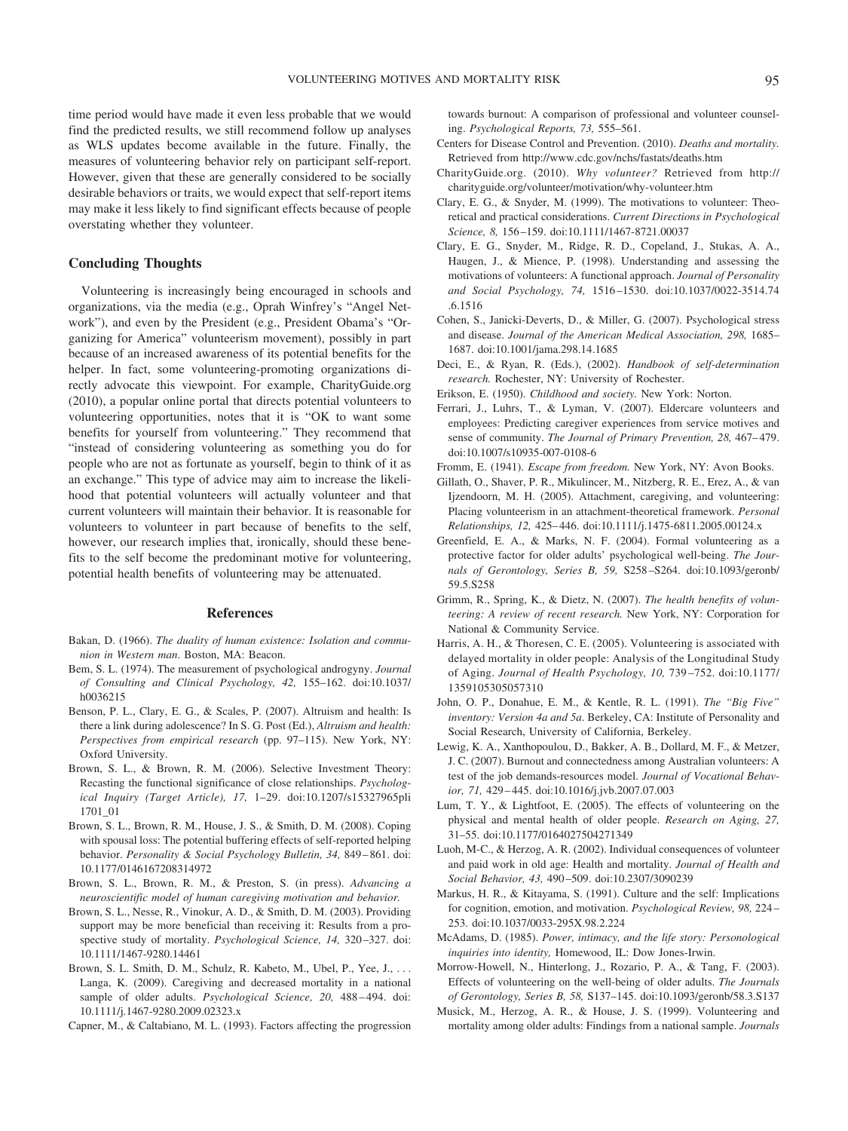time period would have made it even less probable that we would find the predicted results, we still recommend follow up analyses as WLS updates become available in the future. Finally, the measures of volunteering behavior rely on participant self-report. However, given that these are generally considered to be socially desirable behaviors or traits, we would expect that self-report items may make it less likely to find significant effects because of people overstating whether they volunteer.

### **Concluding Thoughts**

Volunteering is increasingly being encouraged in schools and organizations, via the media (e.g., Oprah Winfrey's "Angel Network"), and even by the President (e.g., President Obama's "Organizing for America" volunteerism movement), possibly in part because of an increased awareness of its potential benefits for the helper. In fact, some volunteering-promoting organizations directly advocate this viewpoint. For example, CharityGuide.org (2010), a popular online portal that directs potential volunteers to volunteering opportunities, notes that it is "OK to want some benefits for yourself from volunteering." They recommend that "instead of considering volunteering as something you do for people who are not as fortunate as yourself, begin to think of it as an exchange." This type of advice may aim to increase the likelihood that potential volunteers will actually volunteer and that current volunteers will maintain their behavior. It is reasonable for volunteers to volunteer in part because of benefits to the self, however, our research implies that, ironically, should these benefits to the self become the predominant motive for volunteering, potential health benefits of volunteering may be attenuated.

## **References**

- Bakan, D. (1966). *The duality of human existence: Isolation and communion in Western man*. Boston, MA: Beacon.
- Bem, S. L. (1974). The measurement of psychological androgyny. *Journal of Consulting and Clinical Psychology, 42,* 155–162. doi:10.1037/ h0036215
- Benson, P. L., Clary, E. G., & Scales, P. (2007). Altruism and health: Is there a link during adolescence? In S. G. Post (Ed.), *Altruism and health: Perspectives from empirical research* (pp. 97–115). New York, NY: Oxford University.
- Brown, S. L., & Brown, R. M. (2006). Selective Investment Theory: Recasting the functional significance of close relationships. *Psychological Inquiry (Target Article), 17,* 1–29. doi:10.1207/s15327965pli 1701\_01
- Brown, S. L., Brown, R. M., House, J. S., & Smith, D. M. (2008). Coping with spousal loss: The potential buffering effects of self-reported helping behavior. *Personality & Social Psychology Bulletin, 34,* 849 – 861. doi: 10.1177/0146167208314972
- Brown, S. L., Brown, R. M., & Preston, S. (in press). *Advancing a neuroscientific model of human caregiving motivation and behavior.*
- Brown, S. L., Nesse, R., Vinokur, A. D., & Smith, D. M. (2003). Providing support may be more beneficial than receiving it: Results from a prospective study of mortality. *Psychological Science*, 14, 320-327. doi: 10.1111/1467-9280.14461
- Brown, S. L. Smith, D. M., Schulz, R. Kabeto, M., Ubel, P., Yee, J., . . . Langa, K. (2009). Caregiving and decreased mortality in a national sample of older adults. *Psychological Science*, 20, 488-494. doi: 10.1111/j.1467-9280.2009.02323.x

Capner, M., & Caltabiano, M. L. (1993). Factors affecting the progression

towards burnout: A comparison of professional and volunteer counseling. *Psychological Reports, 73,* 555–561.

- Centers for Disease Control and Prevention. (2010). *Deaths and mortality.* Retrieved from http://www.cdc.gov/nchs/fastats/deaths.htm
- CharityGuide.org. (2010). *Why volunteer?* Retrieved from http:// charityguide.org/volunteer/motivation/why-volunteer.htm
- Clary, E. G., & Snyder, M. (1999). The motivations to volunteer: Theoretical and practical considerations. *Current Directions in Psychological Science, 8,* 156 –159. doi:10.1111/1467-8721.00037
- Clary, E. G., Snyder, M., Ridge, R. D., Copeland, J., Stukas, A. A., Haugen, J., & Mience, P. (1998). Understanding and assessing the motivations of volunteers: A functional approach. *Journal of Personality and Social Psychology, 74,* 1516 –1530. doi:10.1037/0022-3514.74 .6.1516
- Cohen, S., Janicki-Deverts, D., & Miller, G. (2007). Psychological stress and disease. *Journal of the American Medical Association, 298,* 1685– 1687. doi:10.1001/jama.298.14.1685
- Deci, E., & Ryan, R. (Eds.), (2002). *Handbook of self-determination research.* Rochester, NY: University of Rochester.
- Erikson, E. (1950). *Childhood and society.* New York: Norton.
- Ferrari, J., Luhrs, T., & Lyman, V. (2007). Eldercare volunteers and employees: Predicting caregiver experiences from service motives and sense of community. *The Journal of Primary Prevention*, 28, 467–479. doi:10.1007/s10935-007-0108-6
- Fromm, E. (1941). *Escape from freedom.* New York, NY: Avon Books.
- Gillath, O., Shaver, P. R., Mikulincer, M., Nitzberg, R. E., Erez, A., & van Ijzendoorn, M. H. (2005). Attachment, caregiving, and volunteering: Placing volunteerism in an attachment-theoretical framework. *Personal Relationships, 12,* 425– 446. doi:10.1111/j.1475-6811.2005.00124.x
- Greenfield, E. A., & Marks, N. F. (2004). Formal volunteering as a protective factor for older adults' psychological well-being. *The Journals of Gerontology, Series B, 59,* S258 –S264. doi:10.1093/geronb/ 59.5.S258
- Grimm, R., Spring, K., & Dietz, N. (2007). *The health benefits of volunteering: A review of recent research.* New York, NY: Corporation for National & Community Service.
- Harris, A. H., & Thoresen, C. E. (2005). Volunteering is associated with delayed mortality in older people: Analysis of the Longitudinal Study of Aging. *Journal of Health Psychology, 10,* 739 –752. doi:10.1177/ 1359105305057310
- John, O. P., Donahue, E. M., & Kentle, R. L. (1991). *The "Big Five" inventory: Version 4a and 5a*. Berkeley, CA: Institute of Personality and Social Research, University of California, Berkeley.
- Lewig, K. A., Xanthopoulou, D., Bakker, A. B., Dollard, M. F., & Metzer, J. C. (2007). Burnout and connectedness among Australian volunteers: A test of the job demands-resources model. *Journal of Vocational Behavior*, 71, 429-445. doi:10.1016/j.jvb.2007.07.003
- Lum, T. Y., & Lightfoot, E. (2005). The effects of volunteering on the physical and mental health of older people. *Research on Aging, 27,* 31–55. doi:10.1177/0164027504271349
- Luoh, M-C., & Herzog, A. R. (2002). Individual consequences of volunteer and paid work in old age: Health and mortality. *Journal of Health and Social Behavior, 43,* 490 –509. doi:10.2307/3090239
- Markus, H. R., & Kitayama, S. (1991). Culture and the self: Implications for cognition, emotion, and motivation. *Psychological Review, 98,* 224 – 253. doi:10.1037/0033-295X.98.2.224
- McAdams, D. (1985). *Power, intimacy, and the life story: Personological inquiries into identity,* Homewood, IL: Dow Jones-Irwin.
- Morrow-Howell, N., Hinterlong, J., Rozario, P. A., & Tang, F. (2003). Effects of volunteering on the well-being of older adults. *The Journals of Gerontology, Series B, 58,* S137–145. doi:10.1093/geronb/58.3.S137
- Musick, M., Herzog, A. R., & House, J. S. (1999). Volunteering and mortality among older adults: Findings from a national sample. *Journals*